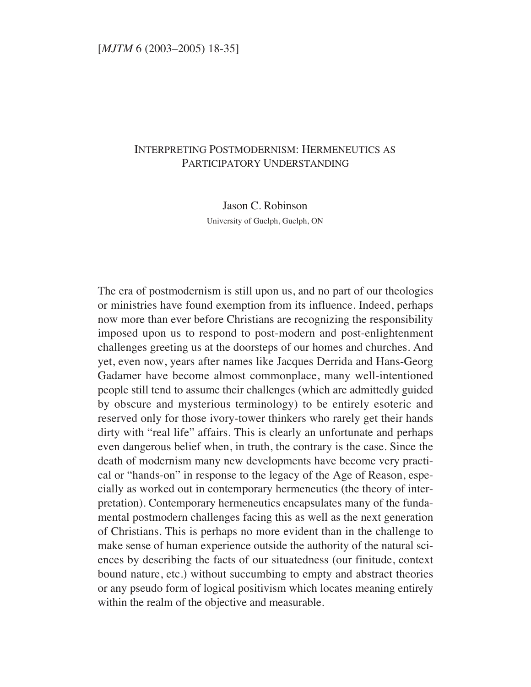# INTERPRETING POSTMODERNISM: HERMENEUTICS AS PARTICIPATORY UNDERSTANDING

Jason C. Robinson University of Guelph, Guelph, ON

The era of postmodernism is still upon us, and no part of our theologies or ministries have found exemption from its influence. Indeed, perhaps now more than ever before Christians are recognizing the responsibility imposed upon us to respond to post-modern and post-enlightenment challenges greeting us at the doorsteps of our homes and churches. And yet, even now, years after names like Jacques Derrida and Hans-Georg Gadamer have become almost commonplace, many well-intentioned people still tend to assume their challenges (which are admittedly guided by obscure and mysterious terminology) to be entirely esoteric and reserved only for those ivory-tower thinkers who rarely get their hands dirty with "real life" affairs. This is clearly an unfortunate and perhaps even dangerous belief when, in truth, the contrary is the case. Since the death of modernism many new developments have become very practical or "hands-on" in response to the legacy of the Age of Reason, especially as worked out in contemporary hermeneutics (the theory of interpretation). Contemporary hermeneutics encapsulates many of the fundamental postmodern challenges facing this as well as the next generation of Christians. This is perhaps no more evident than in the challenge to make sense of human experience outside the authority of the natural sciences by describing the facts of our situatedness (our finitude, context bound nature, etc.) without succumbing to empty and abstract theories or any pseudo form of logical positivism which locates meaning entirely within the realm of the objective and measurable.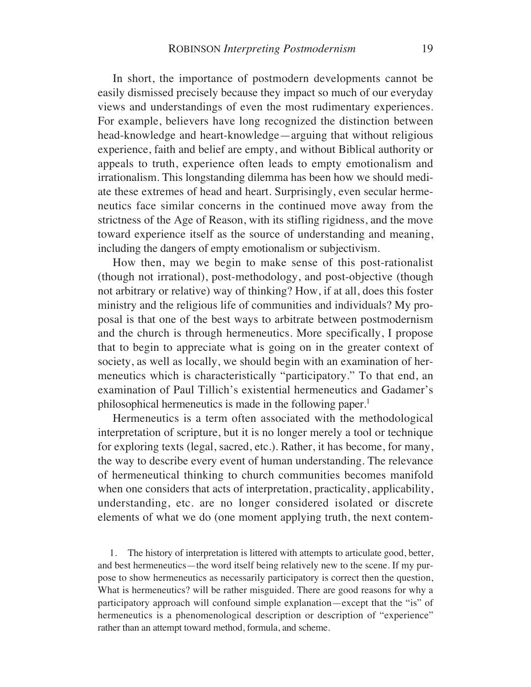In short, the importance of postmodern developments cannot be easily dismissed precisely because they impact so much of our everyday views and understandings of even the most rudimentary experiences. For example, believers have long recognized the distinction between head-knowledge and heart-knowledge—arguing that without religious experience, faith and belief are empty, and without Biblical authority or appeals to truth, experience often leads to empty emotionalism and irrationalism. This longstanding dilemma has been how we should mediate these extremes of head and heart. Surprisingly, even secular hermeneutics face similar concerns in the continued move away from the strictness of the Age of Reason, with its stifling rigidness, and the move toward experience itself as the source of understanding and meaning, including the dangers of empty emotionalism or subjectivism.

How then, may we begin to make sense of this post-rationalist (though not irrational), post-methodology, and post-objective (though not arbitrary or relative) way of thinking? How, if at all, does this foster ministry and the religious life of communities and individuals? My proposal is that one of the best ways to arbitrate between postmodernism and the church is through hermeneutics. More specifically, I propose that to begin to appreciate what is going on in the greater context of society, as well as locally, we should begin with an examination of hermeneutics which is characteristically "participatory." To that end, an examination of Paul Tillich's existential hermeneutics and Gadamer's philosophical hermeneutics is made in the following paper.<sup>1</sup>

Hermeneutics is a term often associated with the methodological interpretation of scripture, but it is no longer merely a tool or technique for exploring texts (legal, sacred, etc.). Rather, it has become, for many, the way to describe every event of human understanding. The relevance of hermeneutical thinking to church communities becomes manifold when one considers that acts of interpretation, practicality, applicability, understanding, etc. are no longer considered isolated or discrete elements of what we do (one moment applying truth, the next contem-

1. The history of interpretation is littered with attempts to articulate good, better, and best hermeneutics—the word itself being relatively new to the scene. If my purpose to show hermeneutics as necessarily participatory is correct then the question, What is hermeneutics? will be rather misguided. There are good reasons for why a participatory approach will confound simple explanation—except that the "is" of hermeneutics is a phenomenological description or description of "experience" rather than an attempt toward method, formula, and scheme.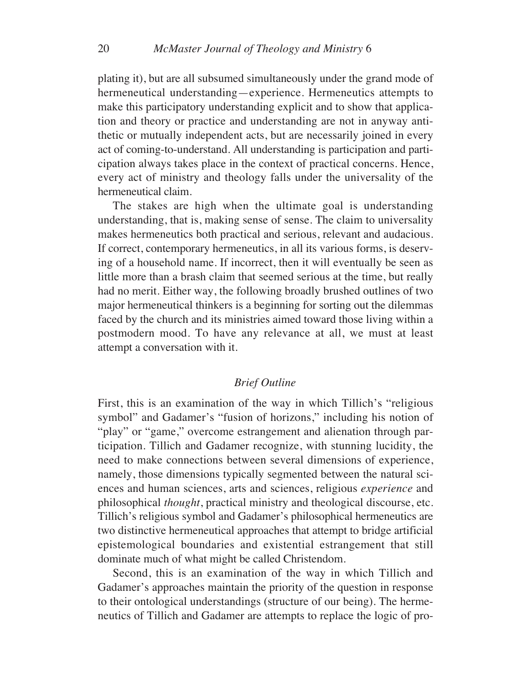plating it), but are all subsumed simultaneously under the grand mode of hermeneutical understanding—experience. Hermeneutics attempts to make this participatory understanding explicit and to show that application and theory or practice and understanding are not in anyway antithetic or mutually independent acts, but are necessarily joined in every act of coming-to-understand. All understanding is participation and participation always takes place in the context of practical concerns. Hence, every act of ministry and theology falls under the universality of the hermeneutical claim.

The stakes are high when the ultimate goal is understanding understanding, that is, making sense of sense. The claim to universality makes hermeneutics both practical and serious, relevant and audacious. If correct, contemporary hermeneutics, in all its various forms, is deserving of a household name. If incorrect, then it will eventually be seen as little more than a brash claim that seemed serious at the time, but really had no merit. Either way, the following broadly brushed outlines of two major hermeneutical thinkers is a beginning for sorting out the dilemmas faced by the church and its ministries aimed toward those living within a postmodern mood. To have any relevance at all, we must at least attempt a conversation with it.

# *Brief Outline*

First, this is an examination of the way in which Tillich's "religious symbol" and Gadamer's "fusion of horizons," including his notion of "play" or "game," overcome estrangement and alienation through participation. Tillich and Gadamer recognize, with stunning lucidity, the need to make connections between several dimensions of experience, namely, those dimensions typically segmented between the natural sciences and human sciences, arts and sciences, religious *experience* and philosophical *thought*, practical ministry and theological discourse, etc. Tillich's religious symbol and Gadamer's philosophical hermeneutics are two distinctive hermeneutical approaches that attempt to bridge artificial epistemological boundaries and existential estrangement that still dominate much of what might be called Christendom.

Second, this is an examination of the way in which Tillich and Gadamer's approaches maintain the priority of the question in response to their ontological understandings (structure of our being). The hermeneutics of Tillich and Gadamer are attempts to replace the logic of pro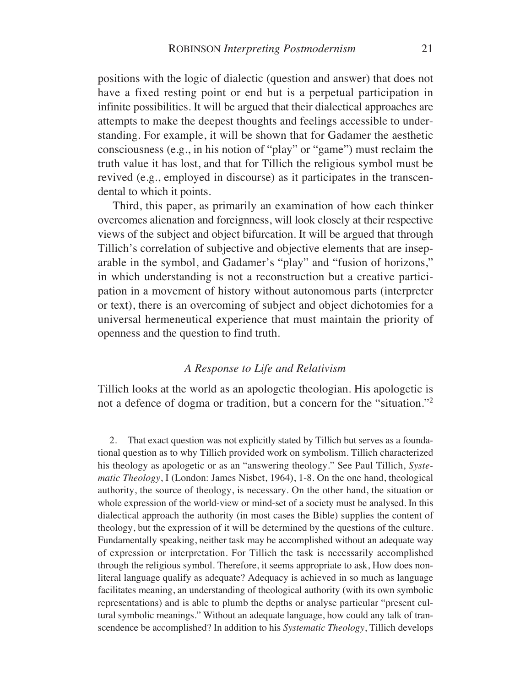positions with the logic of dialectic (question and answer) that does not have a fixed resting point or end but is a perpetual participation in infinite possibilities. It will be argued that their dialectical approaches are attempts to make the deepest thoughts and feelings accessible to understanding. For example, it will be shown that for Gadamer the aesthetic consciousness (e.g., in his notion of "play" or "game") must reclaim the truth value it has lost, and that for Tillich the religious symbol must be revived (e.g., employed in discourse) as it participates in the transcendental to which it points.

Third, this paper, as primarily an examination of how each thinker overcomes alienation and foreignness, will look closely at their respective views of the subject and object bifurcation. It will be argued that through Tillich's correlation of subjective and objective elements that are inseparable in the symbol, and Gadamer's "play" and "fusion of horizons," in which understanding is not a reconstruction but a creative participation in a movement of history without autonomous parts (interpreter or text), there is an overcoming of subject and object dichotomies for a universal hermeneutical experience that must maintain the priority of openness and the question to find truth.

## *A Response to Life and Relativism*

Tillich looks at the world as an apologetic theologian. His apologetic is not a defence of dogma or tradition, but a concern for the "situation."2

2. That exact question was not explicitly stated by Tillich but serves as a foundational question as to why Tillich provided work on symbolism. Tillich characterized his theology as apologetic or as an "answering theology." See Paul Tillich, *Systematic Theology*, I (London: James Nisbet, 1964), 1-8. On the one hand, theological authority, the source of theology, is necessary. On the other hand, the situation or whole expression of the world-view or mind-set of a society must be analysed. In this dialectical approach the authority (in most cases the Bible) supplies the content of theology, but the expression of it will be determined by the questions of the culture. Fundamentally speaking, neither task may be accomplished without an adequate way of expression or interpretation. For Tillich the task is necessarily accomplished through the religious symbol. Therefore, it seems appropriate to ask, How does nonliteral language qualify as adequate? Adequacy is achieved in so much as language facilitates meaning, an understanding of theological authority (with its own symbolic representations) and is able to plumb the depths or analyse particular "present cultural symbolic meanings." Without an adequate language, how could any talk of transcendence be accomplished? In addition to his *Systematic Theology*, Tillich develops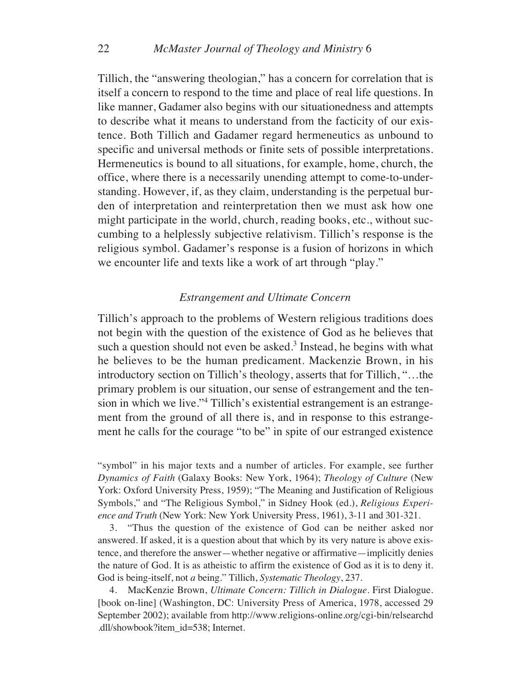Tillich, the "answering theologian," has a concern for correlation that is itself a concern to respond to the time and place of real life questions. In like manner, Gadamer also begins with our situationedness and attempts to describe what it means to understand from the facticity of our existence. Both Tillich and Gadamer regard hermeneutics as unbound to specific and universal methods or finite sets of possible interpretations. Hermeneutics is bound to all situations, for example, home, church, the office, where there is a necessarily unending attempt to come-to-understanding. However, if, as they claim, understanding is the perpetual burden of interpretation and reinterpretation then we must ask how one might participate in the world, church, reading books, etc., without succumbing to a helplessly subjective relativism. Tillich's response is the religious symbol. Gadamer's response is a fusion of horizons in which we encounter life and texts like a work of art through "play."

## *Estrangement and Ultimate Concern*

Tillich's approach to the problems of Western religious traditions does not begin with the question of the existence of God as he believes that such a question should not even be asked.<sup>3</sup> Instead, he begins with what he believes to be the human predicament. Mackenzie Brown, in his introductory section on Tillich's theology, asserts that for Tillich, "…the primary problem is our situation, our sense of estrangement and the tension in which we live."4 Tillich's existential estrangement is an estrangement from the ground of all there is, and in response to this estrangement he calls for the courage "to be" in spite of our estranged existence

"symbol" in his major texts and a number of articles. For example, see further *Dynamics of Faith* (Galaxy Books: New York, 1964); *Theology of Culture* (New York: Oxford University Press, 1959); "The Meaning and Justification of Religious Symbols," and "The Religious Symbol," in Sidney Hook (ed.), *Religious Experience and Truth* (New York: New York University Press, 1961), 3-11 and 301-321.

3. "Thus the question of the existence of God can be neither asked nor answered. If asked, it is a question about that which by its very nature is above existence, and therefore the answer—whether negative or affirmative—implicitly denies the nature of God. It is as atheistic to affirm the existence of God as it is to deny it. God is being-itself, not *a* being." Tillich, *Systematic Theology*, 237.

4. MacKenzie Brown, *Ultimate Concern: Tillich in Dialogue*. First Dialogue. [book on-line] (Washington, DC: University Press of America, 1978, accessed 29 September 2002); available from http://www.religions-online.org/cgi-bin/relsearchd .dll/showbook?item\_id=538; Internet.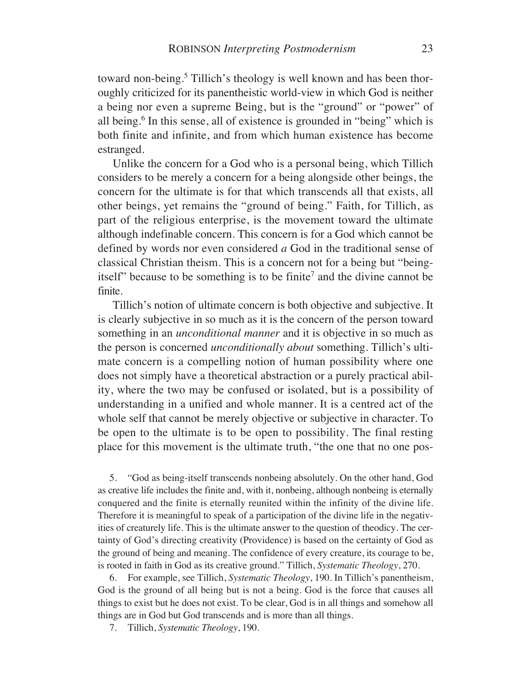toward non-being.<sup>5</sup> Tillich's theology is well known and has been thoroughly criticized for its panentheistic world-view in which God is neither a being nor even a supreme Being, but is the "ground" or "power" of all being.<sup>6</sup> In this sense, all of existence is grounded in "being" which is both finite and infinite, and from which human existence has become estranged.

Unlike the concern for a God who is a personal being, which Tillich considers to be merely a concern for a being alongside other beings, the concern for the ultimate is for that which transcends all that exists, all other beings, yet remains the "ground of being." Faith, for Tillich, as part of the religious enterprise, is the movement toward the ultimate although indefinable concern. This concern is for a God which cannot be defined by words nor even considered *a* God in the traditional sense of classical Christian theism. This is a concern not for a being but "beingitself" because to be something is to be finite<sup>7</sup> and the divine cannot be finite.

Tillich's notion of ultimate concern is both objective and subjective. It is clearly subjective in so much as it is the concern of the person toward something in an *unconditional manner* and it is objective in so much as the person is concerned *unconditionally about* something. Tillich's ultimate concern is a compelling notion of human possibility where one does not simply have a theoretical abstraction or a purely practical ability, where the two may be confused or isolated, but is a possibility of understanding in a unified and whole manner. It is a centred act of the whole self that cannot be merely objective or subjective in character. To be open to the ultimate is to be open to possibility. The final resting place for this movement is the ultimate truth, "the one that no one pos-

5. "God as being-itself transcends nonbeing absolutely. On the other hand, God as creative life includes the finite and, with it, nonbeing, although nonbeing is eternally conquered and the finite is eternally reunited within the infinity of the divine life. Therefore it is meaningful to speak of a participation of the divine life in the negativities of creaturely life. This is the ultimate answer to the question of theodicy. The certainty of God's directing creativity (Providence) is based on the certainty of God as the ground of being and meaning. The confidence of every creature, its courage to be, is rooted in faith in God as its creative ground." Tillich, *Systematic Theology*, 270.

6. For example, see Tillich, *Systematic Theology*, 190. In Tillich's panentheism, God is the ground of all being but is not a being. God is the force that causes all things to exist but he does not exist. To be clear, God is in all things and somehow all things are in God but God transcends and is more than all things.

7. Tillich, *Systematic Theology*, 190.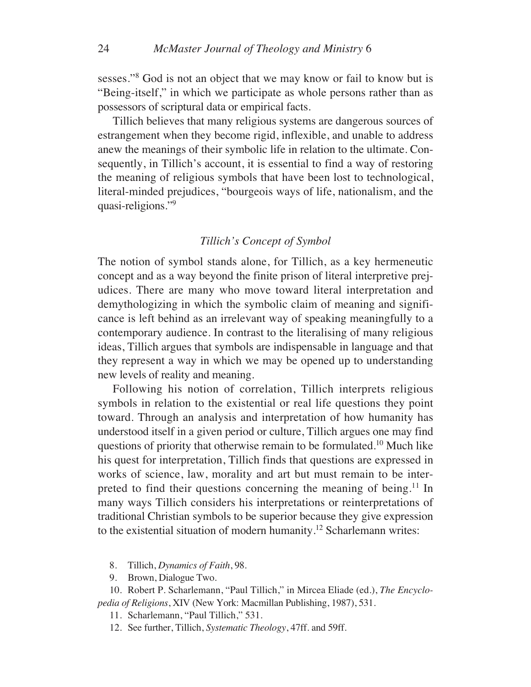sesses."<sup>8</sup> God is not an object that we may know or fail to know but is "Being-itself," in which we participate as whole persons rather than as possessors of scriptural data or empirical facts.

Tillich believes that many religious systems are dangerous sources of estrangement when they become rigid, inflexible, and unable to address anew the meanings of their symbolic life in relation to the ultimate. Consequently, in Tillich's account, it is essential to find a way of restoring the meaning of religious symbols that have been lost to technological, literal-minded prejudices, "bourgeois ways of life, nationalism, and the quasi-religions."9

## *Tillich's Concept of Symbol*

The notion of symbol stands alone, for Tillich, as a key hermeneutic concept and as a way beyond the finite prison of literal interpretive prejudices. There are many who move toward literal interpretation and demythologizing in which the symbolic claim of meaning and significance is left behind as an irrelevant way of speaking meaningfully to a contemporary audience. In contrast to the literalising of many religious ideas, Tillich argues that symbols are indispensable in language and that they represent a way in which we may be opened up to understanding new levels of reality and meaning.

Following his notion of correlation, Tillich interprets religious symbols in relation to the existential or real life questions they point toward. Through an analysis and interpretation of how humanity has understood itself in a given period or culture, Tillich argues one may find questions of priority that otherwise remain to be formulated.10 Much like his quest for interpretation, Tillich finds that questions are expressed in works of science, law, morality and art but must remain to be interpreted to find their questions concerning the meaning of being.<sup>11</sup> In many ways Tillich considers his interpretations or reinterpretations of traditional Christian symbols to be superior because they give expression to the existential situation of modern humanity.12 Scharlemann writes:

- 8. Tillich, *Dynamics of Faith*, 98.
- 9. Brown, Dialogue Two.

10. Robert P. Scharlemann, "Paul Tillich," in Mircea Eliade (ed.), *The Encyclopedia of Religions*, XIV (New York: Macmillan Publishing, 1987), 531.

11. Scharlemann, "Paul Tillich," 531.

12. See further, Tillich, *Systematic Theology*, 47ff. and 59ff.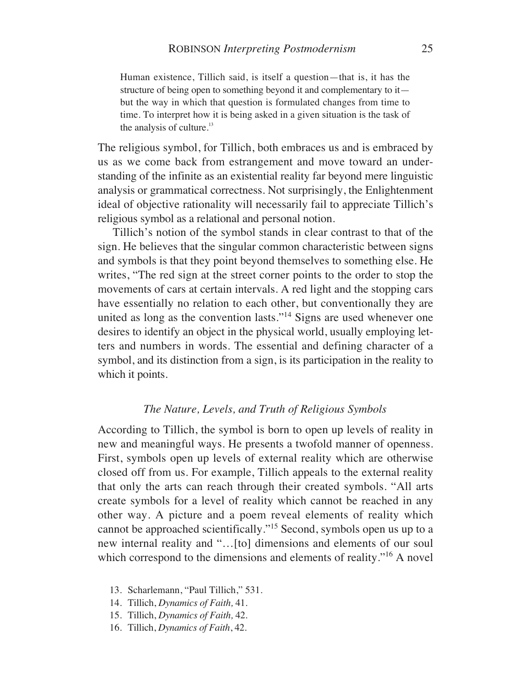Human existence, Tillich said, is itself a question—that is, it has the structure of being open to something beyond it and complementary to it but the way in which that question is formulated changes from time to time. To interpret how it is being asked in a given situation is the task of the analysis of culture.<sup>13</sup>

The religious symbol, for Tillich, both embraces us and is embraced by us as we come back from estrangement and move toward an understanding of the infinite as an existential reality far beyond mere linguistic analysis or grammatical correctness. Not surprisingly, the Enlightenment ideal of objective rationality will necessarily fail to appreciate Tillich's religious symbol as a relational and personal notion.

Tillich's notion of the symbol stands in clear contrast to that of the sign. He believes that the singular common characteristic between signs and symbols is that they point beyond themselves to something else. He writes, "The red sign at the street corner points to the order to stop the movements of cars at certain intervals. A red light and the stopping cars have essentially no relation to each other, but conventionally they are united as long as the convention lasts."14 Signs are used whenever one desires to identify an object in the physical world, usually employing letters and numbers in words. The essential and defining character of a symbol, and its distinction from a sign, is its participation in the reality to which it points.

#### *The Nature, Levels, and Truth of Religious Symbols*

According to Tillich, the symbol is born to open up levels of reality in new and meaningful ways. He presents a twofold manner of openness. First, symbols open up levels of external reality which are otherwise closed off from us. For example, Tillich appeals to the external reality that only the arts can reach through their created symbols. "All arts create symbols for a level of reality which cannot be reached in any other way. A picture and a poem reveal elements of reality which cannot be approached scientifically."15 Second, symbols open us up to a new internal reality and "…[to] dimensions and elements of our soul which correspond to the dimensions and elements of reality."<sup>16</sup> A novel

- 13. Scharlemann, "Paul Tillich," 531.
- 14. Tillich, *Dynamics of Faith,* 41.
- 15. Tillich, *Dynamics of Faith,* 42.
- 16. Tillich, *Dynamics of Faith*, 42.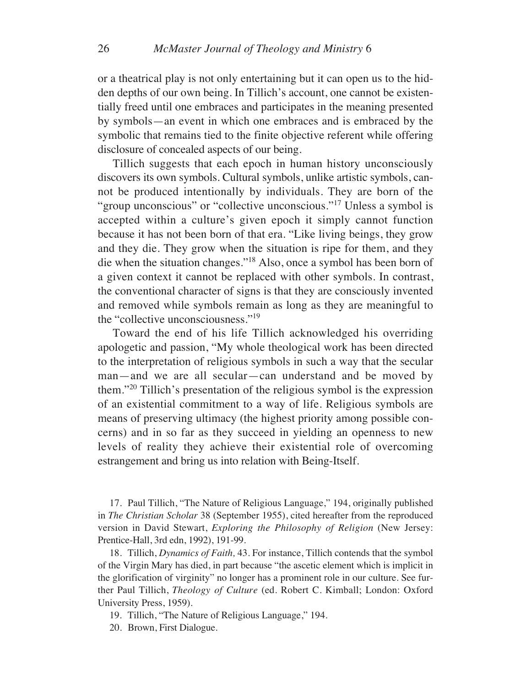or a theatrical play is not only entertaining but it can open us to the hidden depths of our own being. In Tillich's account, one cannot be existentially freed until one embraces and participates in the meaning presented by symbols—an event in which one embraces and is embraced by the symbolic that remains tied to the finite objective referent while offering disclosure of concealed aspects of our being.

Tillich suggests that each epoch in human history unconsciously discovers its own symbols. Cultural symbols, unlike artistic symbols, cannot be produced intentionally by individuals. They are born of the "group unconscious" or "collective unconscious."<sup>17</sup> Unless a symbol is accepted within a culture's given epoch it simply cannot function because it has not been born of that era. "Like living beings, they grow and they die. They grow when the situation is ripe for them, and they die when the situation changes."18 Also, once a symbol has been born of a given context it cannot be replaced with other symbols. In contrast, the conventional character of signs is that they are consciously invented and removed while symbols remain as long as they are meaningful to the "collective unconsciousness."19

Toward the end of his life Tillich acknowledged his overriding apologetic and passion, "My whole theological work has been directed to the interpretation of religious symbols in such a way that the secular man—and we are all secular—can understand and be moved by them."20 Tillich's presentation of the religious symbol is the expression of an existential commitment to a way of life. Religious symbols are means of preserving ultimacy (the highest priority among possible concerns) and in so far as they succeed in yielding an openness to new levels of reality they achieve their existential role of overcoming estrangement and bring us into relation with Being-Itself.

17. Paul Tillich, "The Nature of Religious Language," 194, originally published in *The Christian Scholar* 38 (September 1955), cited hereafter from the reproduced version in David Stewart, *Exploring the Philosophy of Religion* (New Jersey: Prentice-Hall, 3rd edn, 1992), 191-99.

18. Tillich, *Dynamics of Faith,* 43. For instance, Tillich contends that the symbol of the Virgin Mary has died, in part because "the ascetic element which is implicit in the glorification of virginity" no longer has a prominent role in our culture. See further Paul Tillich, *Theology of Culture* (ed. Robert C. Kimball; London: Oxford University Press, 1959).

19. Tillich, "The Nature of Religious Language," 194.

20. Brown, First Dialogue.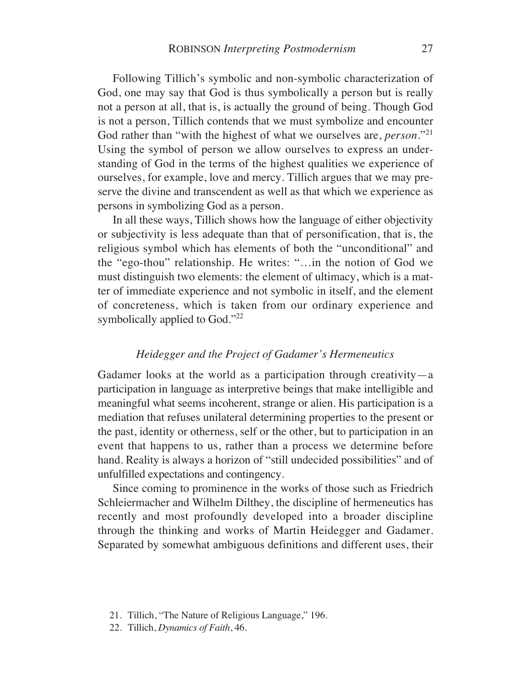Following Tillich's symbolic and non-symbolic characterization of God, one may say that God is thus symbolically a person but is really not a person at all, that is, is actually the ground of being. Though God is not a person, Tillich contends that we must symbolize and encounter God rather than "with the highest of what we ourselves are, *person*."21 Using the symbol of person we allow ourselves to express an understanding of God in the terms of the highest qualities we experience of ourselves, for example, love and mercy. Tillich argues that we may preserve the divine and transcendent as well as that which we experience as persons in symbolizing God as a person.

In all these ways, Tillich shows how the language of either objectivity or subjectivity is less adequate than that of personification, that is, the religious symbol which has elements of both the "unconditional" and the "ego-thou" relationship. He writes: "…in the notion of God we must distinguish two elements: the element of ultimacy, which is a matter of immediate experience and not symbolic in itself, and the element of concreteness, which is taken from our ordinary experience and symbolically applied to God."<sup>22</sup>

# *Heidegger and the Project of Gadamer's Hermeneutics*

Gadamer looks at the world as a participation through creativity—a participation in language as interpretive beings that make intelligible and meaningful what seems incoherent, strange or alien. His participation is a mediation that refuses unilateral determining properties to the present or the past, identity or otherness, self or the other, but to participation in an event that happens to us, rather than a process we determine before hand. Reality is always a horizon of "still undecided possibilities" and of unfulfilled expectations and contingency.

Since coming to prominence in the works of those such as Friedrich Schleiermacher and Wilhelm Dilthey, the discipline of hermeneutics has recently and most profoundly developed into a broader discipline through the thinking and works of Martin Heidegger and Gadamer. Separated by somewhat ambiguous definitions and different uses, their

<sup>21.</sup> Tillich, "The Nature of Religious Language," 196.

<sup>22.</sup> Tillich, *Dynamics of Faith*, 46.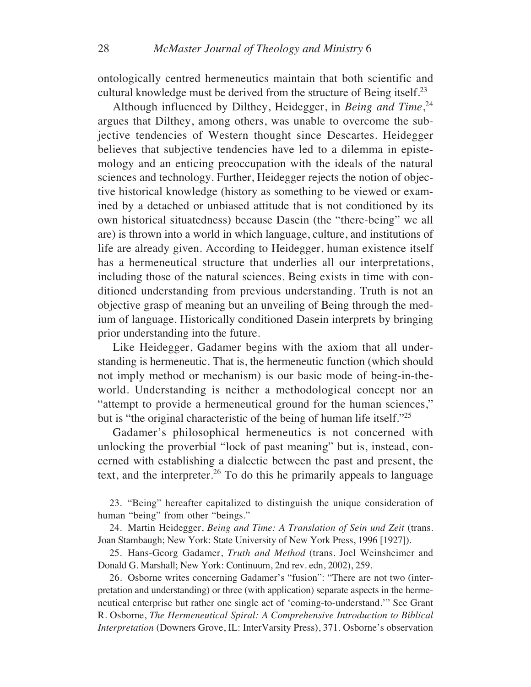ontologically centred hermeneutics maintain that both scientific and cultural knowledge must be derived from the structure of Being itself.23

Although influenced by Dilthey, Heidegger, in *Being and Time*, 24 argues that Dilthey, among others, was unable to overcome the subjective tendencies of Western thought since Descartes. Heidegger believes that subjective tendencies have led to a dilemma in epistemology and an enticing preoccupation with the ideals of the natural sciences and technology. Further, Heidegger rejects the notion of objective historical knowledge (history as something to be viewed or examined by a detached or unbiased attitude that is not conditioned by its own historical situatedness) because Dasein (the "there-being" we all are) is thrown into a world in which language, culture, and institutions of life are already given. According to Heidegger, human existence itself has a hermeneutical structure that underlies all our interpretations, including those of the natural sciences. Being exists in time with conditioned understanding from previous understanding. Truth is not an objective grasp of meaning but an unveiling of Being through the medium of language. Historically conditioned Dasein interprets by bringing prior understanding into the future.

Like Heidegger, Gadamer begins with the axiom that all understanding is hermeneutic. That is, the hermeneutic function (which should not imply method or mechanism) is our basic mode of being-in-theworld. Understanding is neither a methodological concept nor an "attempt to provide a hermeneutical ground for the human sciences," but is "the original characteristic of the being of human life itself."25

Gadamer's philosophical hermeneutics is not concerned with unlocking the proverbial "lock of past meaning" but is, instead, concerned with establishing a dialectic between the past and present, the text, and the interpreter.26 To do this he primarily appeals to language

23. "Being" hereafter capitalized to distinguish the unique consideration of human "being" from other "beings."

24. Martin Heidegger, *Being and Time: A Translation of Sein und Zeit* (trans. Joan Stambaugh; New York: State University of New York Press, 1996 [1927]).

25. Hans-Georg Gadamer, *Truth and Method* (trans. Joel Weinsheimer and Donald G. Marshall; New York: Continuum, 2nd rev. edn, 2002), 259.

26. Osborne writes concerning Gadamer's "fusion": "There are not two (interpretation and understanding) or three (with application) separate aspects in the hermeneutical enterprise but rather one single act of 'coming-to-understand.'" See Grant R. Osborne, *The Hermeneutical Spiral: A Comprehensive Introduction to Biblical Interpretation* (Downers Grove, IL: InterVarsity Press), 371. Osborne's observation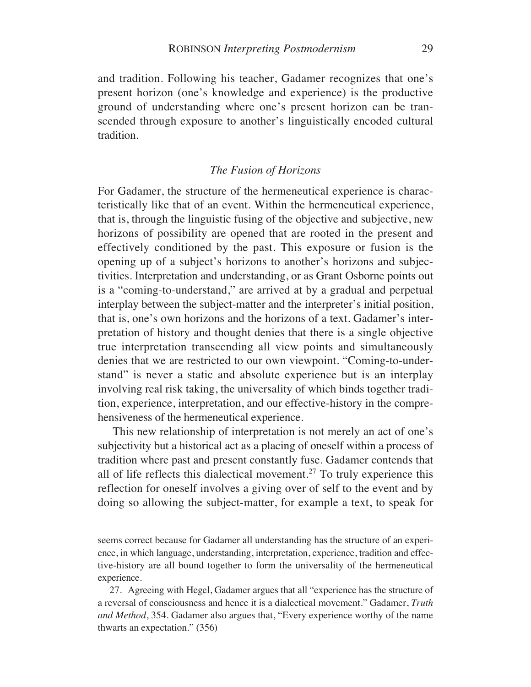and tradition. Following his teacher, Gadamer recognizes that one's present horizon (one's knowledge and experience) is the productive ground of understanding where one's present horizon can be transcended through exposure to another's linguistically encoded cultural tradition.

### *The Fusion of Horizons*

For Gadamer, the structure of the hermeneutical experience is characteristically like that of an event. Within the hermeneutical experience, that is, through the linguistic fusing of the objective and subjective, new horizons of possibility are opened that are rooted in the present and effectively conditioned by the past. This exposure or fusion is the opening up of a subject's horizons to another's horizons and subjectivities. Interpretation and understanding, or as Grant Osborne points out is a "coming-to-understand," are arrived at by a gradual and perpetual interplay between the subject-matter and the interpreter's initial position, that is, one's own horizons and the horizons of a text. Gadamer's interpretation of history and thought denies that there is a single objective true interpretation transcending all view points and simultaneously denies that we are restricted to our own viewpoint. "Coming-to-understand" is never a static and absolute experience but is an interplay involving real risk taking, the universality of which binds together tradition, experience, interpretation, and our effective-history in the comprehensiveness of the hermeneutical experience.

This new relationship of interpretation is not merely an act of one's subjectivity but a historical act as a placing of oneself within a process of tradition where past and present constantly fuse. Gadamer contends that all of life reflects this dialectical movement.<sup>27</sup> To truly experience this reflection for oneself involves a giving over of self to the event and by doing so allowing the subject-matter, for example a text, to speak for

seems correct because for Gadamer all understanding has the structure of an experience, in which language, understanding, interpretation, experience, tradition and effective-history are all bound together to form the universality of the hermeneutical experience.

27. Agreeing with Hegel, Gadamer argues that all "experience has the structure of a reversal of consciousness and hence it is a dialectical movement." Gadamer, *Truth and Method*, 354. Gadamer also argues that, "Every experience worthy of the name thwarts an expectation." (356)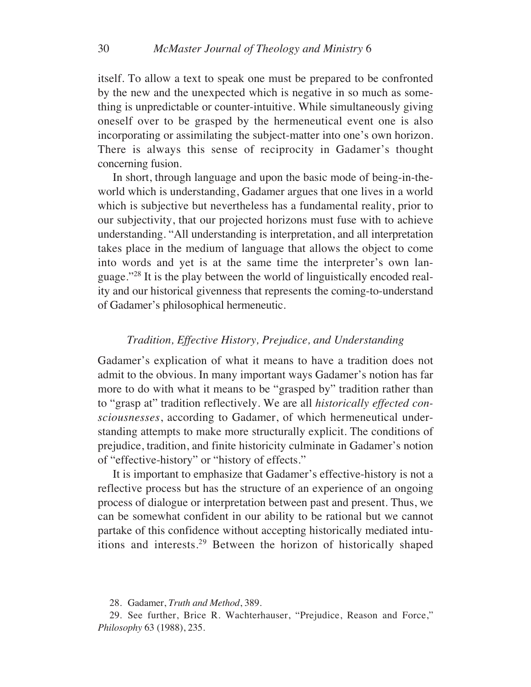itself. To allow a text to speak one must be prepared to be confronted by the new and the unexpected which is negative in so much as something is unpredictable or counter-intuitive. While simultaneously giving oneself over to be grasped by the hermeneutical event one is also incorporating or assimilating the subject-matter into one's own horizon. There is always this sense of reciprocity in Gadamer's thought concerning fusion.

In short, through language and upon the basic mode of being-in-theworld which is understanding, Gadamer argues that one lives in a world which is subjective but nevertheless has a fundamental reality, prior to our subjectivity, that our projected horizons must fuse with to achieve understanding. "All understanding is interpretation, and all interpretation takes place in the medium of language that allows the object to come into words and yet is at the same time the interpreter's own language."28 It is the play between the world of linguistically encoded reality and our historical givenness that represents the coming-to-understand of Gadamer's philosophical hermeneutic.

# *Tradition, Effective History, Prejudice, and Understanding*

Gadamer's explication of what it means to have a tradition does not admit to the obvious. In many important ways Gadamer's notion has far more to do with what it means to be "grasped by" tradition rather than to "grasp at" tradition reflectively. We are all *historically effected consciousnesses*, according to Gadamer, of which hermeneutical understanding attempts to make more structurally explicit. The conditions of prejudice, tradition, and finite historicity culminate in Gadamer's notion of "effective-history" or "history of effects."

It is important to emphasize that Gadamer's effective-history is not a reflective process but has the structure of an experience of an ongoing process of dialogue or interpretation between past and present. Thus, we can be somewhat confident in our ability to be rational but we cannot partake of this confidence without accepting historically mediated intuitions and interests.29 Between the horizon of historically shaped

<sup>28.</sup> Gadamer, *Truth and Method*, 389.

<sup>29.</sup> See further, Brice R. Wachterhauser, "Prejudice, Reason and Force," *Philosophy* 63 (1988), 235.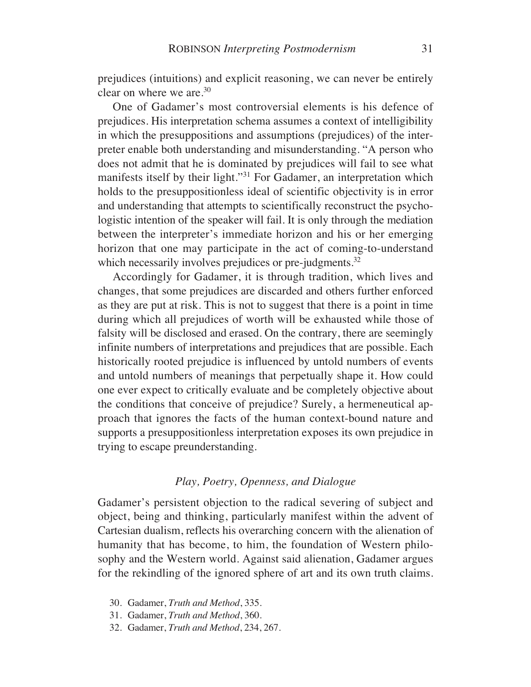prejudices (intuitions) and explicit reasoning, we can never be entirely clear on where we are.30

One of Gadamer's most controversial elements is his defence of prejudices. His interpretation schema assumes a context of intelligibility in which the presuppositions and assumptions (prejudices) of the interpreter enable both understanding and misunderstanding. "A person who does not admit that he is dominated by prejudices will fail to see what manifests itself by their light."31 For Gadamer, an interpretation which holds to the presuppositionless ideal of scientific objectivity is in error and understanding that attempts to scientifically reconstruct the psychologistic intention of the speaker will fail. It is only through the mediation between the interpreter's immediate horizon and his or her emerging horizon that one may participate in the act of coming-to-understand which necessarily involves prejudices or pre-judgments.<sup>32</sup>

Accordingly for Gadamer, it is through tradition, which lives and changes, that some prejudices are discarded and others further enforced as they are put at risk. This is not to suggest that there is a point in time during which all prejudices of worth will be exhausted while those of falsity will be disclosed and erased. On the contrary, there are seemingly infinite numbers of interpretations and prejudices that are possible. Each historically rooted prejudice is influenced by untold numbers of events and untold numbers of meanings that perpetually shape it. How could one ever expect to critically evaluate and be completely objective about the conditions that conceive of prejudice? Surely, a hermeneutical approach that ignores the facts of the human context-bound nature and supports a presuppositionless interpretation exposes its own prejudice in trying to escape preunderstanding.

# *Play, Poetry, Openness, and Dialogue*

Gadamer's persistent objection to the radical severing of subject and object, being and thinking, particularly manifest within the advent of Cartesian dualism, reflects his overarching concern with the alienation of humanity that has become, to him, the foundation of Western philosophy and the Western world. Against said alienation, Gadamer argues for the rekindling of the ignored sphere of art and its own truth claims.

- 30. Gadamer, *Truth and Method*, 335.
- 31. Gadamer, *Truth and Method*, 360.
- 32. Gadamer, *Truth and Method*, 234, 267.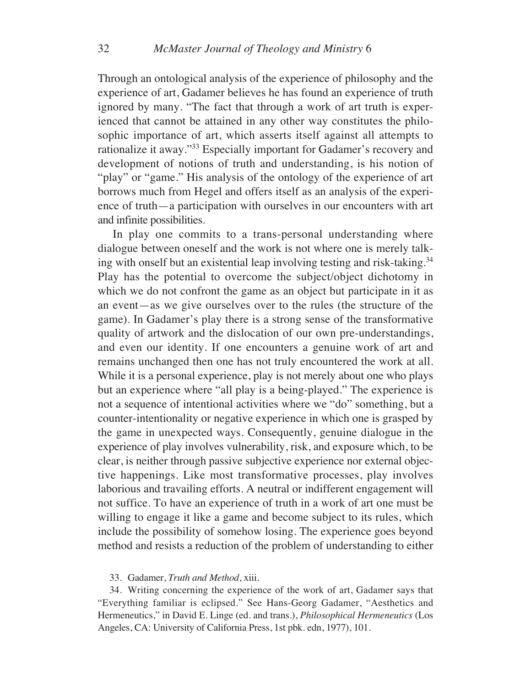Through an ontological analysis of the experience of philosophy and the experience of art, Gadamer believes he has found an experience of truth ignored by many. "The fact that through a work of art truth is experienced that cannot be attained in any other way constitutes the philosophic importance of art, which asserts itself against all attempts to rationalize it away."33 Especially important for Gadamer's recovery and development of notions of truth and understanding, is his notion of "play" or "game." His analysis of the ontology of the experience of art borrows much from Hegel and offers itself as an analysis of the experience of truth—a participation with ourselves in our encounters with art and infinite possibilities.

In play one commits to a trans-personal understanding where dialogue between oneself and the work is not where one is merely talking with onself but an existential leap involving testing and risk-taking.34 Play has the potential to overcome the subject/object dichotomy in which we do not confront the game as an object but participate in it as an event—as we give ourselves over to the rules (the structure of the game). In Gadamer's play there is a strong sense of the transformative quality of artwork and the dislocation of our own pre-understandings, and even our identity. If one encounters a genuine work of art and remains unchanged then one has not truly encountered the work at all. While it is a personal experience, play is not merely about one who plays but an experience where "all play is a being-played." The experience is not a sequence of intentional activities where we "do" something, but a counter-intentionality or negative experience in which one is grasped by the game in unexpected ways. Consequently, genuine dialogue in the experience of play involves vulnerability, risk, and exposure which, to be clear, is neither through passive subjective experience nor external objective happenings. Like most transformative processes, play involves laborious and travailing efforts. A neutral or indifferent engagement will not suffice. To have an experience of truth in a work of art one must be willing to engage it like a game and become subject to its rules, which include the possibility of somehow losing. The experience goes beyond method and resists a reduction of the problem of understanding to either

#### 33. Gadamer, *Truth and Method*, xiii.

34. Writing concerning the experience of the work of art, Gadamer says that "Everything familiar is eclipsed." See Hans-Georg Gadamer, "Aesthetics and Hermeneutics," in David E. Linge (ed. and trans.), *Philosophical Hermeneutics* (Los Angeles, CA: University of California Press, 1st pbk. edn, 1977), 101.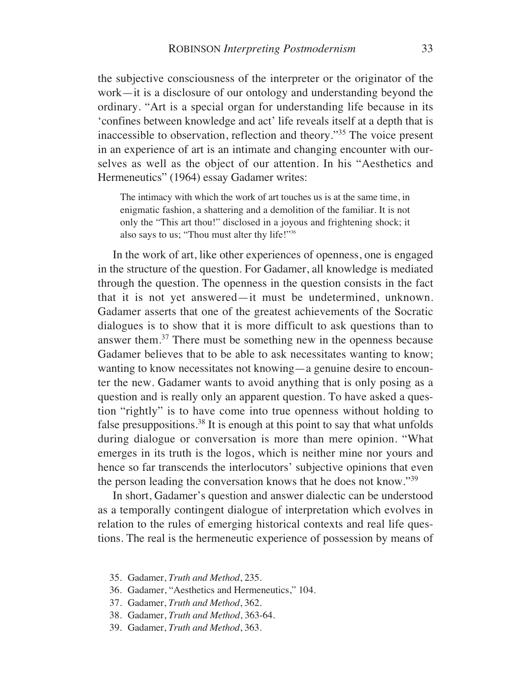the subjective consciousness of the interpreter or the originator of the work—it is a disclosure of our ontology and understanding beyond the ordinary. "Art is a special organ for understanding life because in its 'confines between knowledge and act' life reveals itself at a depth that is inaccessible to observation, reflection and theory."35 The voice present in an experience of art is an intimate and changing encounter with ourselves as well as the object of our attention. In his "Aesthetics and Hermeneutics" (1964) essay Gadamer writes:

The intimacy with which the work of art touches us is at the same time, in enigmatic fashion, a shattering and a demolition of the familiar. It is not only the "This art thou!" disclosed in a joyous and frightening shock; it also says to us; "Thou must alter thy life!"<sup>36</sup>

In the work of art, like other experiences of openness, one is engaged in the structure of the question. For Gadamer, all knowledge is mediated through the question. The openness in the question consists in the fact that it is not yet answered—it must be undetermined, unknown. Gadamer asserts that one of the greatest achievements of the Socratic dialogues is to show that it is more difficult to ask questions than to answer them.37 There must be something new in the openness because Gadamer believes that to be able to ask necessitates wanting to know; wanting to know necessitates not knowing—a genuine desire to encounter the new. Gadamer wants to avoid anything that is only posing as a question and is really only an apparent question. To have asked a question "rightly" is to have come into true openness without holding to false presuppositions.<sup>38</sup> It is enough at this point to say that what unfolds during dialogue or conversation is more than mere opinion. "What emerges in its truth is the logos, which is neither mine nor yours and hence so far transcends the interlocutors' subjective opinions that even the person leading the conversation knows that he does not know."39

In short, Gadamer's question and answer dialectic can be understood as a temporally contingent dialogue of interpretation which evolves in relation to the rules of emerging historical contexts and real life questions. The real is the hermeneutic experience of possession by means of

- 35. Gadamer, *Truth and Method*, 235.
- 36. Gadamer, "Aesthetics and Hermeneutics," 104.
- 37. Gadamer, *Truth and Method*, 362.
- 38. Gadamer, *Truth and Method*, 363-64.
- 39. Gadamer, *Truth and Method*, 363.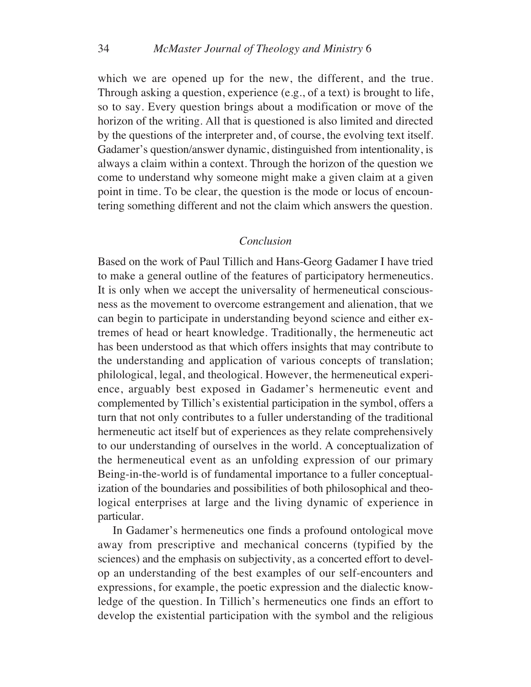which we are opened up for the new, the different, and the true. Through asking a question, experience (e.g., of a text) is brought to life, so to say. Every question brings about a modification or move of the horizon of the writing. All that is questioned is also limited and directed by the questions of the interpreter and, of course, the evolving text itself. Gadamer's question/answer dynamic, distinguished from intentionality, is always a claim within a context. Through the horizon of the question we come to understand why someone might make a given claim at a given point in time. To be clear, the question is the mode or locus of encountering something different and not the claim which answers the question.

### *Conclusion*

Based on the work of Paul Tillich and Hans-Georg Gadamer I have tried to make a general outline of the features of participatory hermeneutics. It is only when we accept the universality of hermeneutical consciousness as the movement to overcome estrangement and alienation, that we can begin to participate in understanding beyond science and either extremes of head or heart knowledge. Traditionally, the hermeneutic act has been understood as that which offers insights that may contribute to the understanding and application of various concepts of translation; philological, legal, and theological. However, the hermeneutical experience, arguably best exposed in Gadamer's hermeneutic event and complemented by Tillich's existential participation in the symbol, offers a turn that not only contributes to a fuller understanding of the traditional hermeneutic act itself but of experiences as they relate comprehensively to our understanding of ourselves in the world. A conceptualization of the hermeneutical event as an unfolding expression of our primary Being-in-the-world is of fundamental importance to a fuller conceptualization of the boundaries and possibilities of both philosophical and theological enterprises at large and the living dynamic of experience in particular.

In Gadamer's hermeneutics one finds a profound ontological move away from prescriptive and mechanical concerns (typified by the sciences) and the emphasis on subjectivity, as a concerted effort to develop an understanding of the best examples of our self-encounters and expressions, for example, the poetic expression and the dialectic knowledge of the question. In Tillich's hermeneutics one finds an effort to develop the existential participation with the symbol and the religious